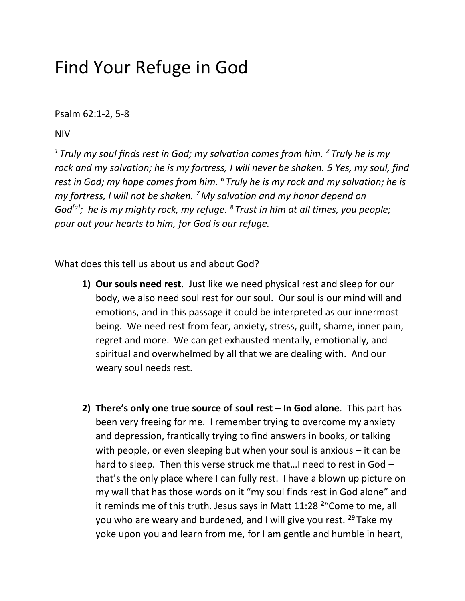## Find Your Refuge in God

Psalm 62:1-2, 5-8

NIV

*<sup>1</sup>Truly my soul finds rest in God; my salvation comes from him. <sup>2</sup> Truly he is my rock and my salvation; he is my fortress, I will never be shaken. 5 Yes, my soul, find rest in God; my hope comes from him. <sup>6</sup> Truly he is my rock and my salvation; he is my fortress, I will not be shaken. <sup>7</sup>My salvation and my honor depend on God[\[a\]](https://www.biblegateway.com/passage/?search=Psalm%2062%3A5-8&version=NIV,NLT,MSG,ESV#fen-NIV-14835a) ; he is my mighty rock, my refuge. <sup>8</sup> Trust in him at all times, you people; pour out your hearts to him, for God is our refuge.*

What does this tell us about us and about God?

- **1) Our souls need rest.** Just like we need physical rest and sleep for our body, we also need soul rest for our soul. Our soul is our mind will and emotions, and in this passage it could be interpreted as our innermost being. We need rest from fear, anxiety, stress, guilt, shame, inner pain, regret and more. We can get exhausted mentally, emotionally, and spiritual and overwhelmed by all that we are dealing with. And our weary soul needs rest.
- **2) There's only one true source of soul rest – In God alone**. This part has been very freeing for me. I remember trying to overcome my anxiety and depression, frantically trying to find answers in books, or talking with people, or even sleeping but when your soul is anxious – it can be hard to sleep. Then this verse struck me that...I need to rest in God that's the only place where I can fully rest. I have a blown up picture on my wall that has those words on it "my soul finds rest in God alone" and it reminds me of this truth. Jesus says in Matt 11:28 **<sup>2</sup>** "Come to me, all you who are weary and burdened, and I will give you rest. **<sup>29</sup>** Take my yoke upon you and learn from me, for I am gentle and humble in heart,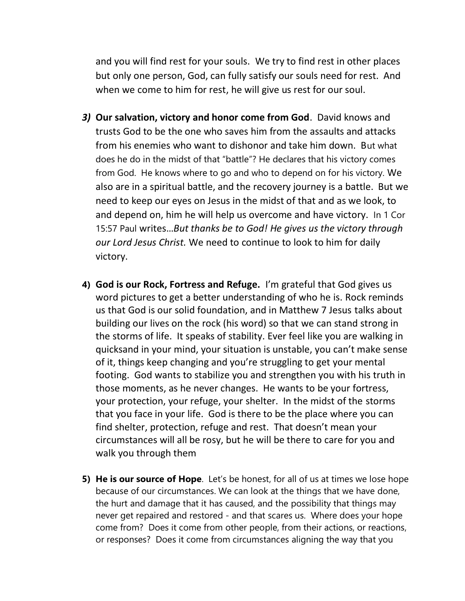and you will find rest for your souls. We try to find rest in other places but only one person, God, can fully satisfy our souls need for rest. And when we come to him for rest, he will give us rest for our soul.

- *3)* **Our salvation, victory and honor come from God**. David knows and trusts God to be the one who saves him from the assaults and attacks from his enemies who want to dishonor and take him down. But what does he do in the midst of that "battle"? He declares that his victory comes from God. He knows where to go and who to depend on for his victory. We also are in a spiritual battle, and the recovery journey is a battle. But we need to keep our eyes on Jesus in the midst of that and as we look, to and depend on, him he will help us overcome and have victory. In 1 Cor 15:57 Paul writes…*But thanks be to God! He gives us the victory through our Lord Jesus Christ.* We need to continue to look to him for daily victory.
- **4) God is our Rock, Fortress and Refuge.** I'm grateful that God gives us word pictures to get a better understanding of who he is. Rock reminds us that God is our solid foundation, and in Matthew 7 Jesus talks about building our lives on the rock (his word) so that we can stand strong in the storms of life. It speaks of stability. Ever feel like you are walking in quicksand in your mind, your situation is unstable, you can't make sense of it, things keep changing and you're struggling to get your mental footing. God wants to stabilize you and strengthen you with his truth in those moments, as he never changes. He wants to be your fortress, your protection, your refuge, your shelter. In the midst of the storms that you face in your life. God is there to be the place where you can find shelter, protection, refuge and rest. That doesn't mean your circumstances will all be rosy, but he will be there to care for you and walk you through them
- **5) He is our source of Hope**. Let's be honest, for all of us at times we lose hope because of our circumstances. We can look at the things that we have done, the hurt and damage that it has caused, and the possibility that things may never get repaired and restored - and that scares us. Where does your hope come from? Does it come from other people, from their actions, or reactions, or responses? Does it come from circumstances aligning the way that you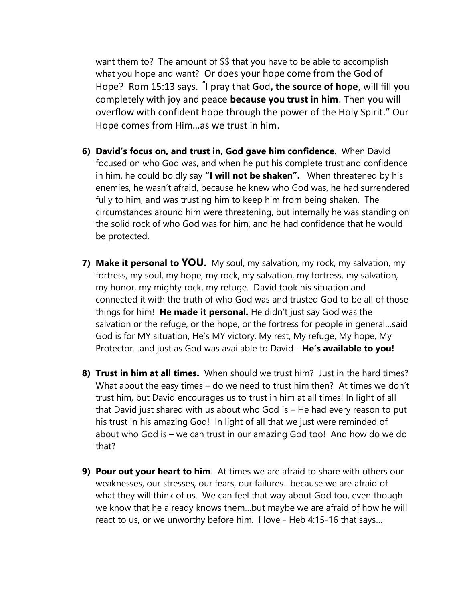want them to? The amount of \$\$ that you have to be able to accomplish what you hope and want? Or does your hope come from the God of Hope? Rom 15:13 says. **"** I pray that God**, the source of hope**, will fill you completely with joy and peace **because you trust in him**. Then you will overflow with confident hope through the power of the Holy Spirit." Our Hope comes from Him…as we trust in him.

- **6) David's focus on, and trust in, God gave him confidence**. When David focused on who God was, and when he put his complete trust and confidence in him, he could boldly say **"I will not be shaken".** When threatened by his enemies, he wasn't afraid, because he knew who God was, he had surrendered fully to him, and was trusting him to keep him from being shaken. The circumstances around him were threatening, but internally he was standing on the solid rock of who God was for him, and he had confidence that he would be protected.
- **7) Make it personal to YOU.** My soul, my salvation, my rock, my salvation, my fortress, my soul, my hope, my rock, my salvation, my fortress, my salvation, my honor, my mighty rock, my refuge. David took his situation and connected it with the truth of who God was and trusted God to be all of those things for him! **He made it personal.** He didn't just say God was the salvation or the refuge, or the hope, or the fortress for people in general…said God is for MY situation, He's MY victory, My rest, My refuge, My hope, My Protector…and just as God was available to David - **He's available to you!**
- **8) Trust in him at all times.** When should we trust him? Just in the hard times? What about the easy times – do we need to trust him then? At times we don't trust him, but David encourages us to trust in him at all times! In light of all that David just shared with us about who God is – He had every reason to put his trust in his amazing God! In light of all that we just were reminded of about who God is – we can trust in our amazing God too! And how do we do that?
- **9) Pour out your heart to him**. At times we are afraid to share with others our weaknesses, our stresses, our fears, our failures…because we are afraid of what they will think of us. We can feel that way about God too, even though we know that he already knows them…but maybe we are afraid of how he will react to us, or we unworthy before him. I love - Heb 4:15-16 that says…